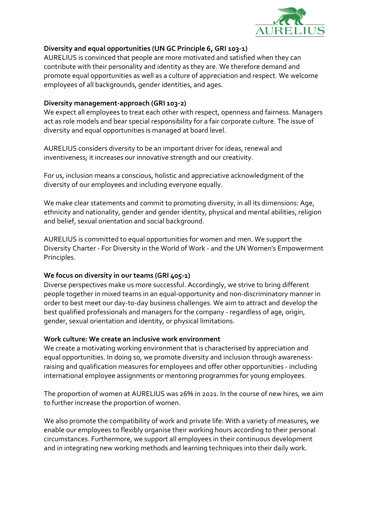

# Diversity and equal opportunities (UN GC Principle 6, GRI 103-1)

AURELIUS is convinced that people are more motivated and satisfied when they can contribute with their personality and identity as they are. We therefore demand and promote equal opportunities as well as a culture of appreciation and respect. We welcome employees of all backgrounds, gender identities, and ages.

## Diversity management-approach (GRI 103-2)

We expect all employees to treat each other with respect, openness and fairness. Managers act as role models and bear special responsibility for a fair corporate culture. The issue of diversity and equal opportunities is managed at board level.

AURELIUS considers diversity to be an important driver for ideas, renewal and inventiveness; it increases our innovative strength and our creativity.

For us, inclusion means a conscious, holistic and appreciative acknowledgment of the diversity of our employees and including everyone equally.

We make clear statements and commit to promoting diversity, in all its dimensions: Age, ethnicity and nationality, gender and gender identity, physical and mental abilities, religion and belief, sexual orientation and social background.

AURELIUS is committed to equal opportunities for women and men. We support the Diversity Charter - For Diversity in the World of Work - and the UN Women's Empowerment Principles.

# We focus on diversity in our teams (GRI 405-1)

Diverse perspectives make us more successful. Accordingly, we strive to bring different people together in mixed teams in an equal-opportunity and non-discriminatory manner in order to best meet our day-to-day business challenges. We aim to attract and develop the best qualified professionals and managers for the company - regardless of age, origin, gender, sexual orientation and identity, or physical limitations.

# Work culture: We create an inclusive work environment

We create a motivating working environment that is characterised by appreciation and equal opportunities. In doing so, we promote diversity and inclusion through awarenessraising and qualification measures for employees and offer other opportunities - including international employee assignments or mentoring programmes for young employees.

The proportion of women at AURELIUS was 26% in 2021. In the course of new hires, we aim to further increase the proportion of women.

We also promote the compatibility of work and private life: With a variety of measures, we enable our employees to flexibly organise their working hours according to their personal circumstances. Furthermore, we support all employees in their continuous development and in integrating new working methods and learning techniques into their daily work.